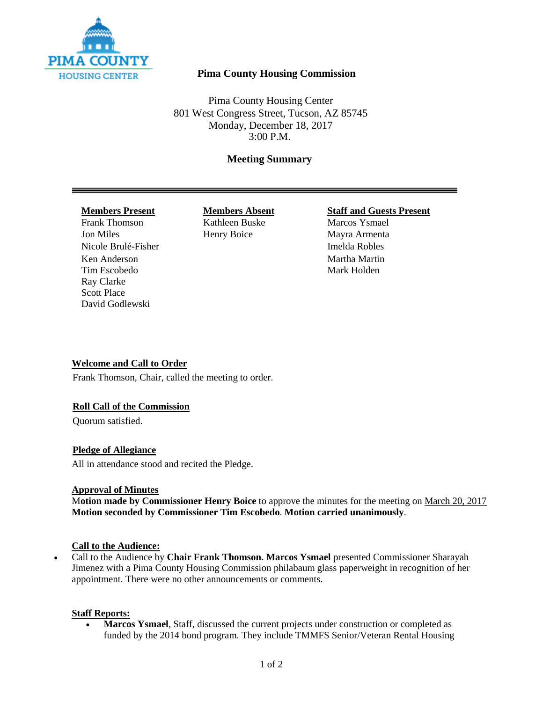

# **Pima County Housing Commission**

Pima County Housing Center 801 West Congress Street, Tucson, AZ 85745 Monday, December 18, 2017 3:00 P.M.

# **Meeting Summary**

Frank Thomson Kathleen Buske Marcos Ysmael Jon Miles Henry Boice Mayra Armenta Nicole Brulé-Fisher **Imelda Robles** Ken Anderson Martha Martin Tim Escobedo Mark Holden Ray Clarke Scott Place David Godlewski

### **Members Present Members Absent Staff and Guests Present**

# **Welcome and Call to Order**

Frank Thomson, Chair, called the meeting to order.

# **Roll Call of the Commission**

Quorum satisfied.

# **Pledge of Allegiance**

All in attendance stood and recited the Pledge.

#### **Approval of Minutes**

M**otion made by Commissioner Henry Boice** to approve the minutes for the meeting on March 20, 2017 **Motion seconded by Commissioner Tim Escobedo**. **Motion carried unanimously**.

#### **Call to the Audience:**

• Call to the Audience by **Chair Frank Thomson. Marcos Ysmael** presented Commissioner Sharayah Jimenez with a Pima County Housing Commission philabaum glass paperweight in recognition of her appointment. There were no other announcements or comments.

# **Staff Reports:**

• **Marcos Ysmael**, Staff, discussed the current projects under construction or completed as funded by the 2014 bond program. They include TMMFS Senior/Veteran Rental Housing